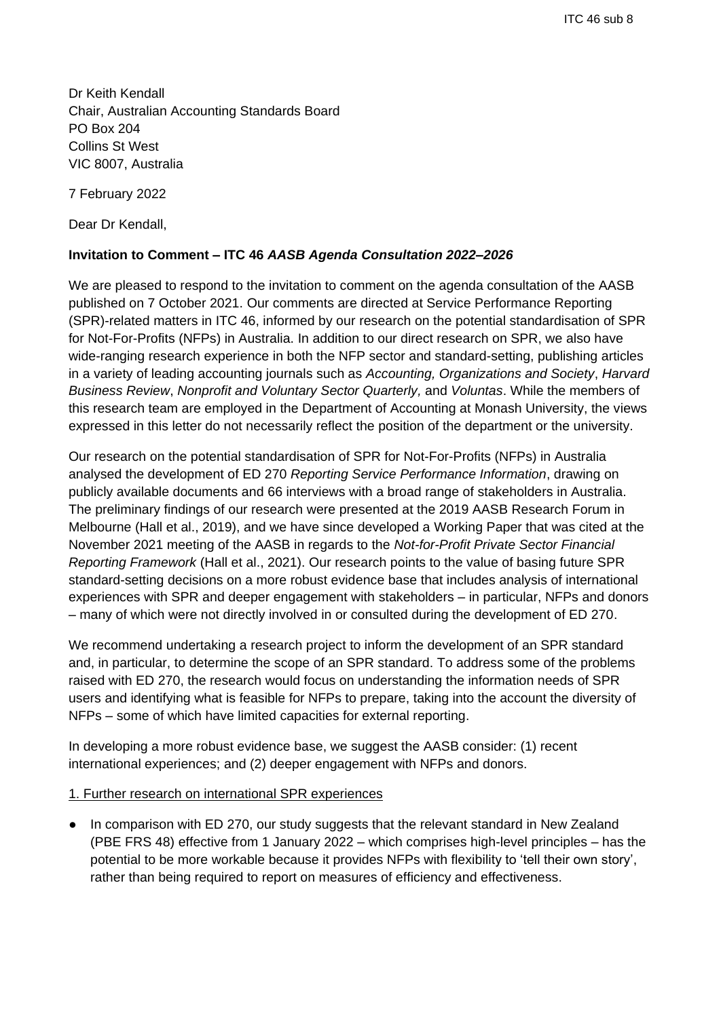Dr Keith Kendall Chair, Australian Accounting Standards Board PO Box 204 Collins St West VIC 8007, Australia

7 February 2022

Dear Dr Kendall,

## **Invitation to Comment – ITC 46** *AASB Agenda Consultation 2022–2026*

We are pleased to respond to the invitation to comment on the agenda consultation of the AASB published on 7 October 2021. Our comments are directed at Service Performance Reporting (SPR)-related matters in ITC 46, informed by our research on the potential standardisation of SPR for Not-For-Profits (NFPs) in Australia. In addition to our direct research on SPR, we also have wide-ranging research experience in both the NFP sector and standard-setting, publishing articles in a variety of leading accounting journals such as *Accounting, Organizations and Society*, *Harvard Business Review*, *Nonprofit and Voluntary Sector Quarterly,* and *Voluntas*. While the members of this research team are employed in the Department of Accounting at Monash University, the views expressed in this letter do not necessarily reflect the position of the department or the university.

Our research on the potential standardisation of SPR for Not-For-Profits (NFPs) in Australia analysed the development of ED 270 *Reporting Service Performance Information*, drawing on publicly available documents and 66 interviews with a broad range of stakeholders in Australia. The preliminary findings of our research were presented at the 2019 AASB Research Forum in Melbourne (Hall et al., 2019), and we have since developed a Working Paper that was cited at the November 2021 meeting of the AASB in regards to the *Not-for-Profit Private Sector Financial Reporting Framework* (Hall et al., 2021). Our research points to the value of basing future SPR standard-setting decisions on a more robust evidence base that includes analysis of international experiences with SPR and deeper engagement with stakeholders – in particular, NFPs and donors – many of which were not directly involved in or consulted during the development of ED 270.

We recommend undertaking a research project to inform the development of an SPR standard and, in particular, to determine the scope of an SPR standard. To address some of the problems raised with ED 270, the research would focus on understanding the information needs of SPR users and identifying what is feasible for NFPs to prepare, taking into the account the diversity of NFPs – some of which have limited capacities for external reporting.

In developing a more robust evidence base, we suggest the AASB consider: (1) recent international experiences; and (2) deeper engagement with NFPs and donors.

1. Further research on international SPR experiences

● In comparison with ED 270, our study suggests that the relevant standard in New Zealand (PBE FRS 48) effective from 1 January 2022 – which comprises high-level principles – has the potential to be more workable because it provides NFPs with flexibility to 'tell their own story', rather than being required to report on measures of efficiency and effectiveness.